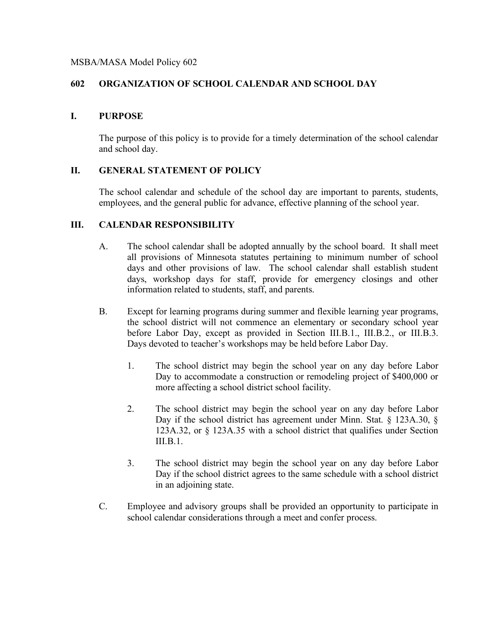# **602 ORGANIZATION OF SCHOOL CALENDAR AND SCHOOL DAY**

#### **I. PURPOSE**

The purpose of this policy is to provide for a timely determination of the school calendar and school day.

# **II. GENERAL STATEMENT OF POLICY**

The school calendar and schedule of the school day are important to parents, students, employees, and the general public for advance, effective planning of the school year.

#### **III. CALENDAR RESPONSIBILITY**

- A. The school calendar shall be adopted annually by the school board. It shall meet all provisions of Minnesota statutes pertaining to minimum number of school days and other provisions of law. The school calendar shall establish student days, workshop days for staff, provide for emergency closings and other information related to students, staff, and parents.
- B. Except for learning programs during summer and flexible learning year programs, the school district will not commence an elementary or secondary school year before Labor Day, except as provided in Section III.B.1., III.B.2., or III.B.3. Days devoted to teacher's workshops may be held before Labor Day.
	- 1. The school district may begin the school year on any day before Labor Day to accommodate a construction or remodeling project of \$400,000 or more affecting a school district school facility.
	- 2. The school district may begin the school year on any day before Labor Day if the school district has agreement under Minn. Stat. § 123A.30, § 123A.32, or § 123A.35 with a school district that qualifies under Section III.B.1.
	- 3. The school district may begin the school year on any day before Labor Day if the school district agrees to the same schedule with a school district in an adjoining state.
- C. Employee and advisory groups shall be provided an opportunity to participate in school calendar considerations through a meet and confer process.